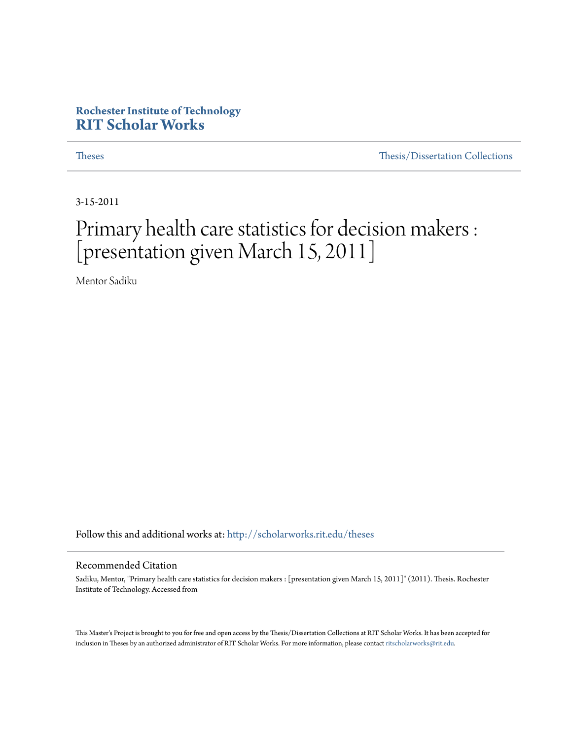#### **Rochester Institute of Technology [RIT Scholar Works](http://scholarworks.rit.edu?utm_source=scholarworks.rit.edu%2Ftheses%2F4887&utm_medium=PDF&utm_campaign=PDFCoverPages)**

[Theses](http://scholarworks.rit.edu/theses?utm_source=scholarworks.rit.edu%2Ftheses%2F4887&utm_medium=PDF&utm_campaign=PDFCoverPages) [Thesis/Dissertation Collections](http://scholarworks.rit.edu/etd_collections?utm_source=scholarworks.rit.edu%2Ftheses%2F4887&utm_medium=PDF&utm_campaign=PDFCoverPages)

3-15-2011

#### Primary health care statistics for decision makers : [presentation given March 15, 2011]

Mentor Sadiku

Follow this and additional works at: [http://scholarworks.rit.edu/theses](http://scholarworks.rit.edu/theses?utm_source=scholarworks.rit.edu%2Ftheses%2F4887&utm_medium=PDF&utm_campaign=PDFCoverPages)

#### Recommended Citation

Sadiku, Mentor, "Primary health care statistics for decision makers : [presentation given March 15, 2011]" (2011). Thesis. Rochester Institute of Technology. Accessed from

This Master's Project is brought to you for free and open access by the Thesis/Dissertation Collections at RIT Scholar Works. It has been accepted for inclusion in Theses by an authorized administrator of RIT Scholar Works. For more information, please contact [ritscholarworks@rit.edu](mailto:ritscholarworks@rit.edu).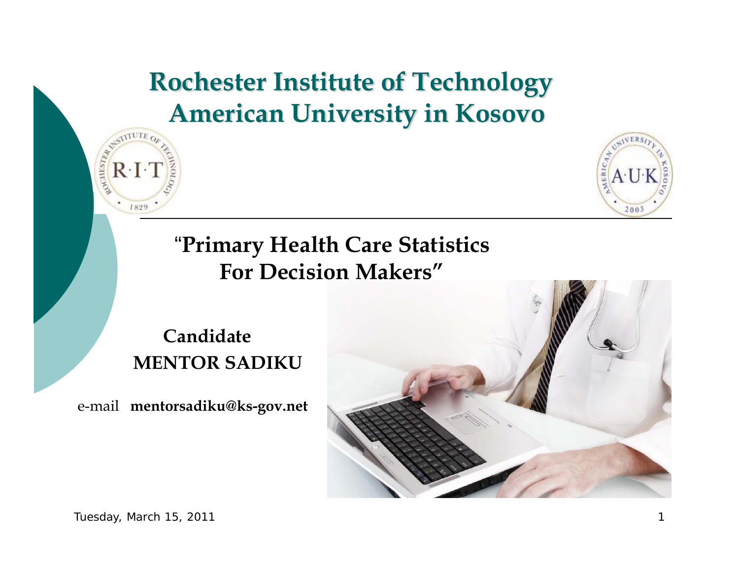#### **Rochester Institute of Technology American University in Kosovo**



**Candidate MENTOR SADIKU**

e-mail **mentorsadiku@ks-gov.net**



STITUTE O

 $R \cdot I \cdot$ 

1829

**POCHESTER** 

**VER** 

 $2002$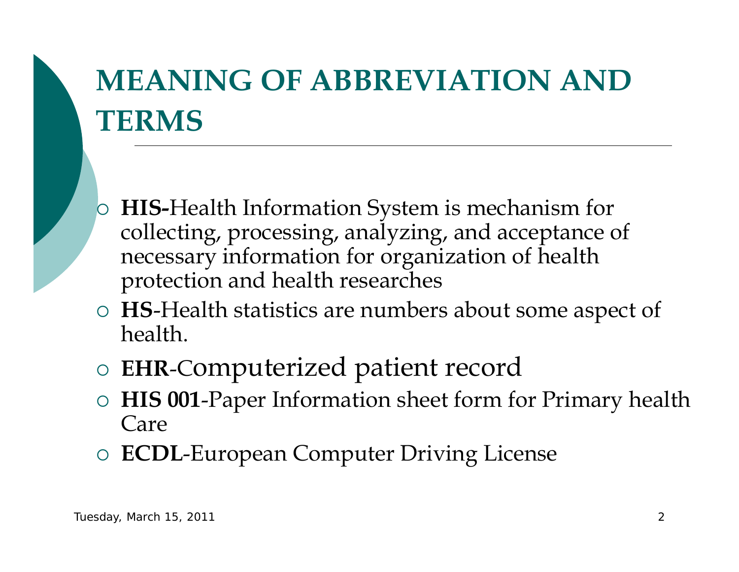## **MEANING OF ABBREVIATION AND TERMS**

- $\overline{O}$  **HIS-**Health Information System is mechanism for collecting, processing, analyzing, and acceptance of necessary information for organization of health protection and health researches
- { **HS**-Health statistics are numbers about some aspect of health.
- ${\bigcirc}$ **EHR**-Computerized patient record
- ${\bigcirc}$  **HIS 001**-Paper Information sheet form for Primary health Care
- ${\bigcirc}$ **ECDL**-European Computer Driving License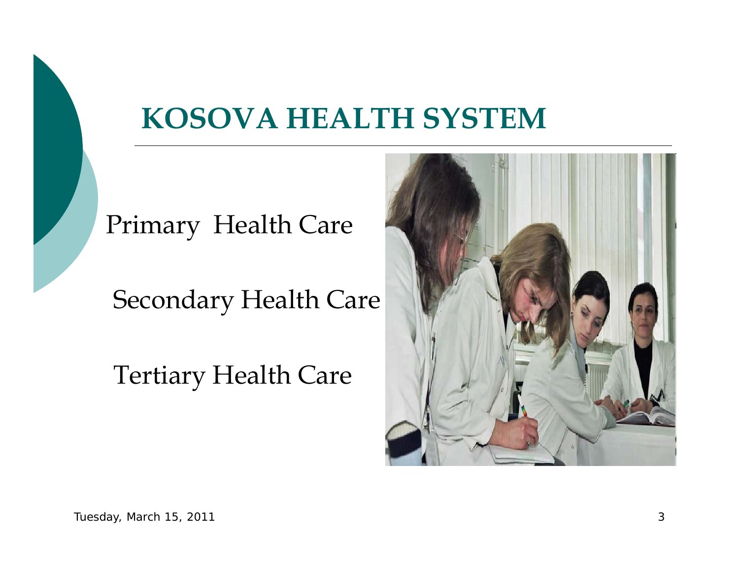### **KOSOVA HEALTH SYSTEM**



Secondary Health Care

Tertiary Health Care

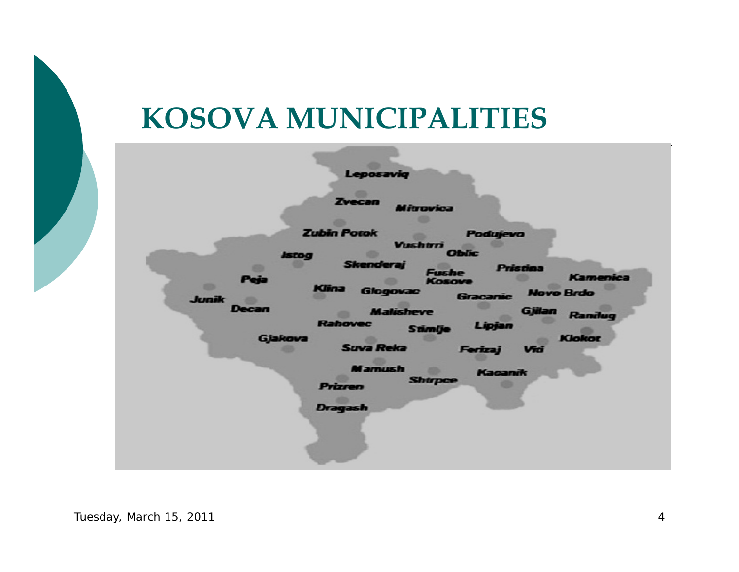### **KOSOVA MUNICIPALITIES**

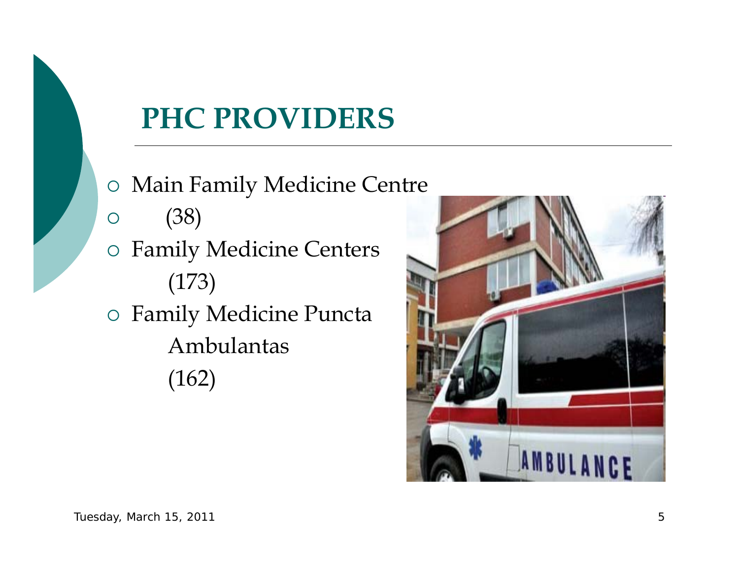## **PHC PROVIDERS**

- { Main Family Medicine Centre
- ${\bigcirc}$ (38)
- { Family Medicine Centers (173) { Family Medicine Puncta
	- Ambulantas
	- (162)

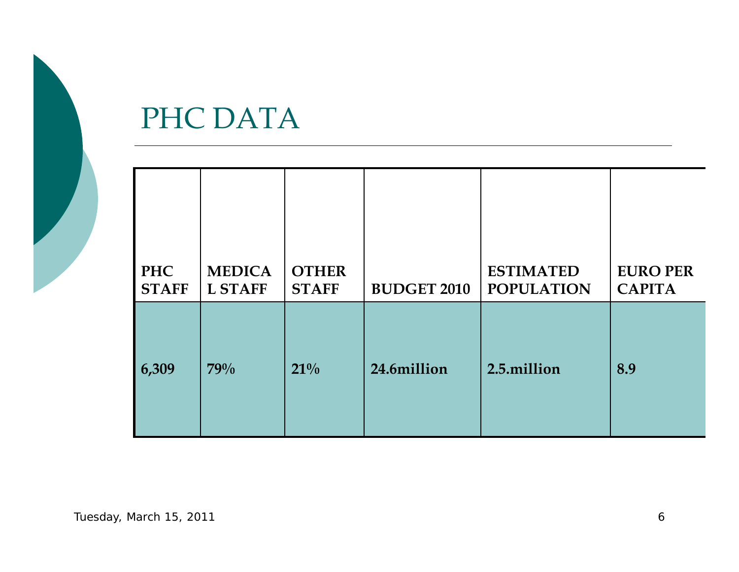

#### PHC DATA

| <b>PHC</b>   | <b>MEDICA</b>  | <b>OTHER</b> | <b>BUDGET 2010</b> | <b>ESTIMATED</b>  | <b>EURO PER</b> |
|--------------|----------------|--------------|--------------------|-------------------|-----------------|
| <b>STAFF</b> | <b>L STAFF</b> | <b>STAFF</b> |                    | <b>POPULATION</b> | <b>CAPITA</b>   |
| 6,309        | 79%            | $21\%$       | 24.6million        | 2.5.million       | 8.9             |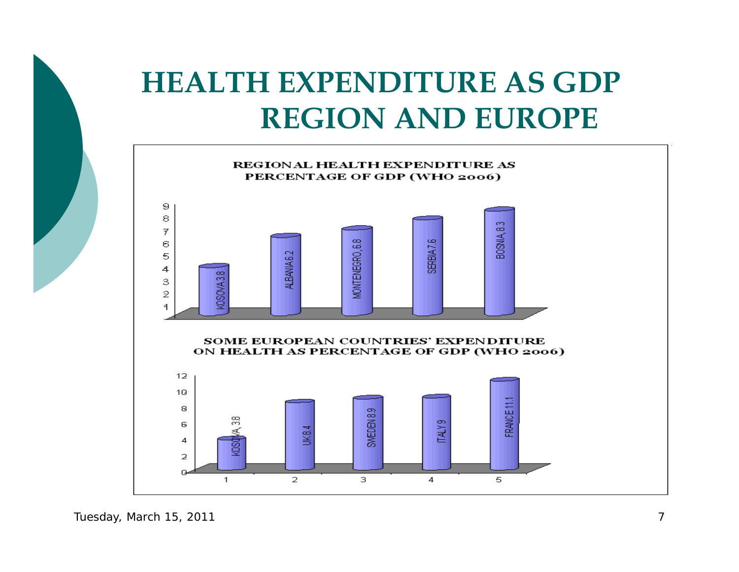## **HEALTH EXPENDITURE AS GDPREGION AND EUROPE**



Tuesday, March 15, 2011 7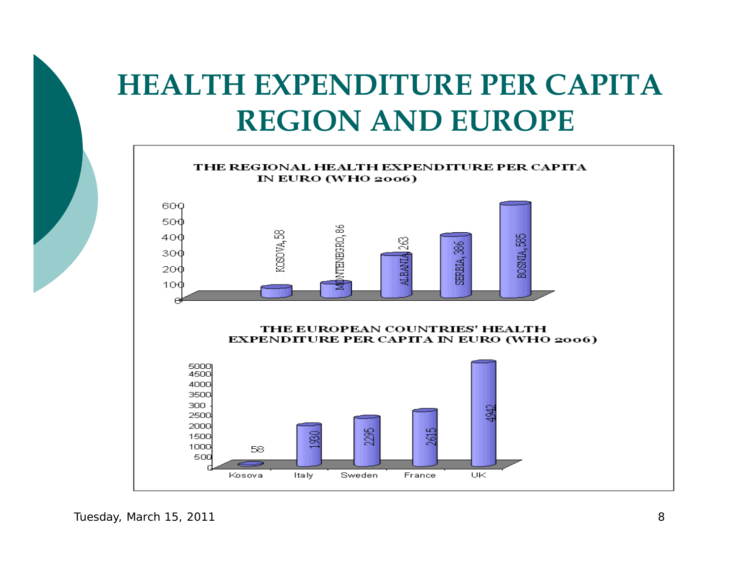## **HEALTH EXPENDITURE PER CAPITAREGION AND EUROPE**

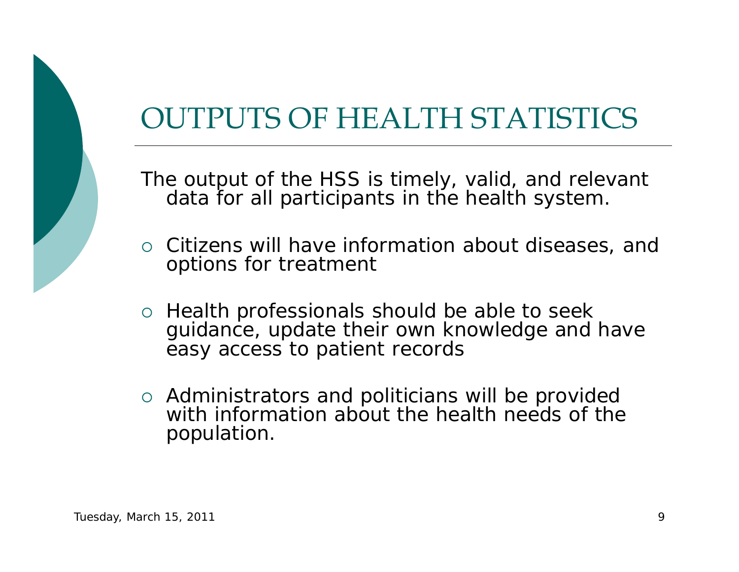## OUTPUTS OF HEALTH STATISTICS

The output of the HSS is timely, valid, and relevant data for all participants in the health system.

- { Citizens will have information about diseases, and options for treatment
- o Health professionals should be able to seek guidance, update their own knowledge and have easy access to patient records
- $\circ$  Administrators and politicians will be provided with information about the health needs of the population.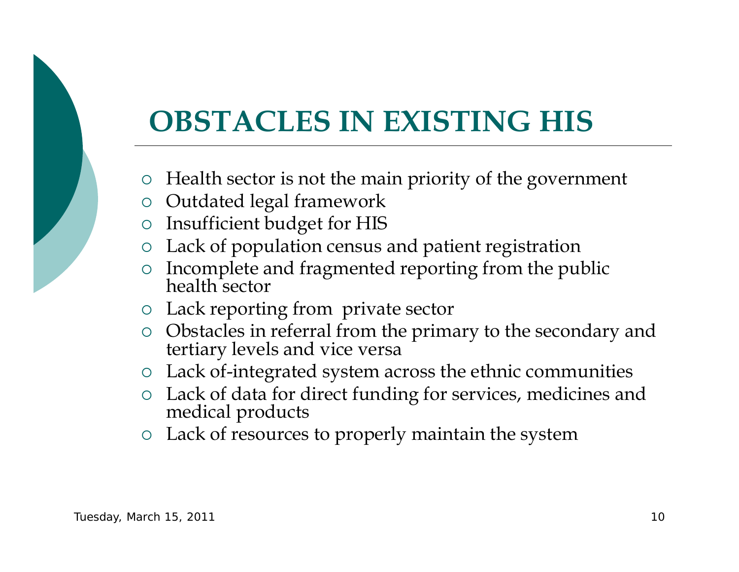## **OBSTACLES IN EXISTING HIS**

- $\circ$  Health sector is not the main priority of the government
- $\circ$   $\,$  Outdated legal framework
- { Insufficient budget for HIS
- { Lack of population census and patient registration
- ${\bigcirc}$ Incomplete and fragmented reporting from the public health sector
- { Lack reporting from private sector
- { Obstacles in referral from the primary to the secondary and tertiary levels and vice versa
- $\circ$  Lack of-integrated system across the ethnic communities
- { Lack of data for direct funding for services, medicines and medical products
- { Lack of resources to properly maintain the system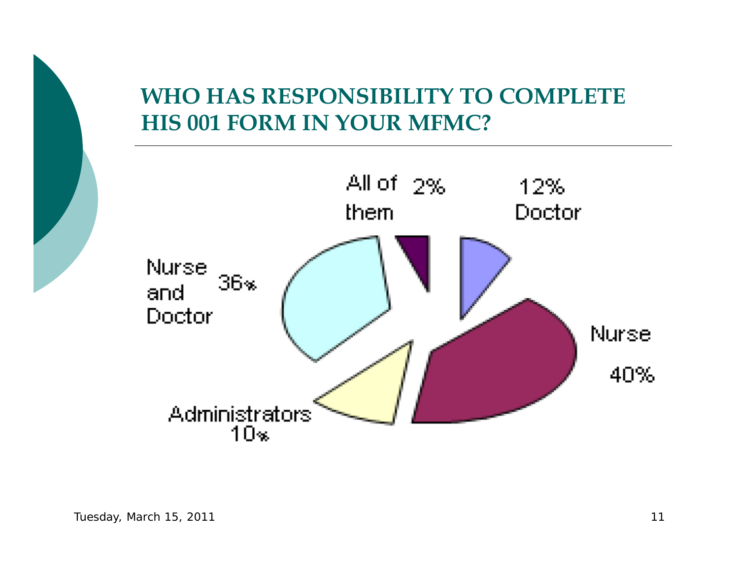#### **WHO HAS RESPONSIBILITY TO COMPLETE HIS 001 FORM IN YOUR MFMC?**

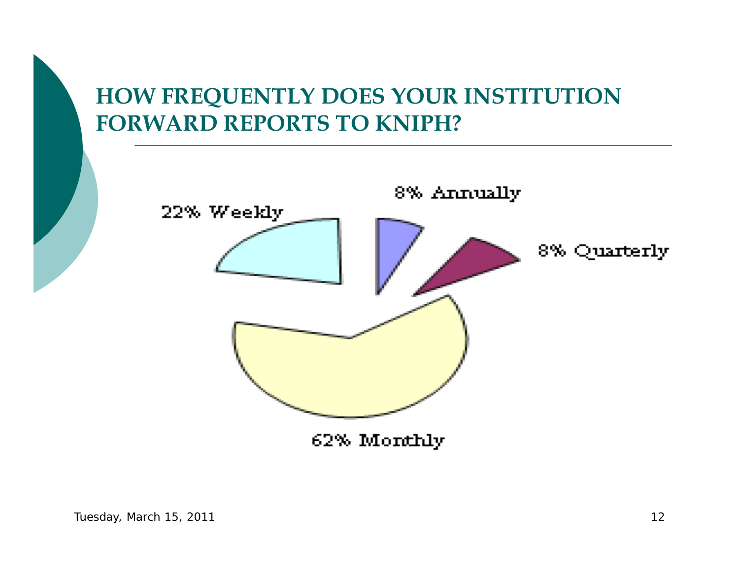#### **HOW FREQUENTLY DOES YOUR INSTITUTION FORWARD REPORTS TO KNIPH?**

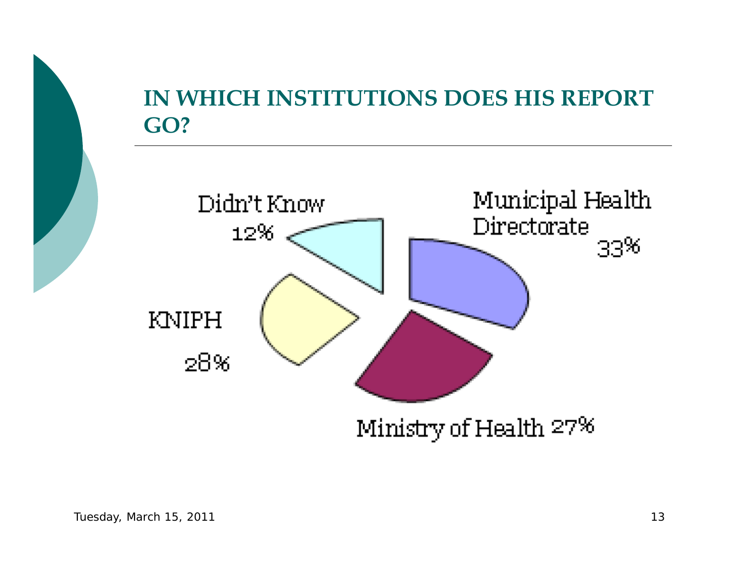



Ministry of Health 27%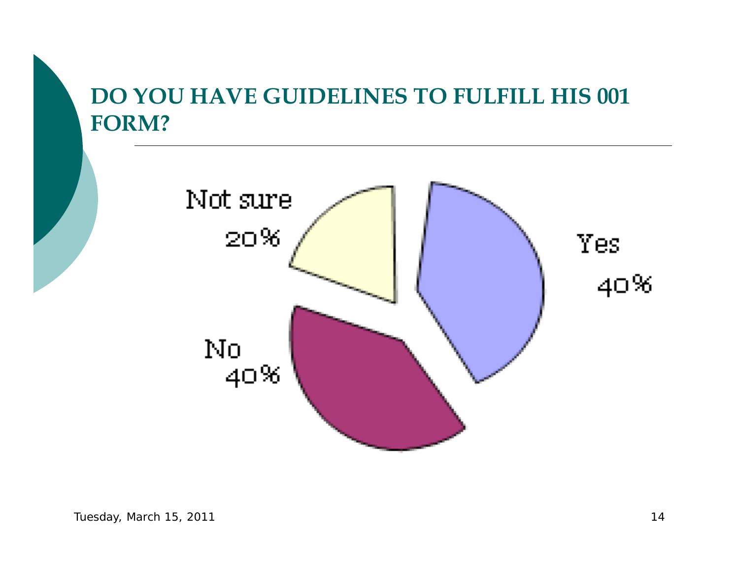#### **DO YOU HAVE GUIDELINES TO FULFILL HIS 001 FORM?**

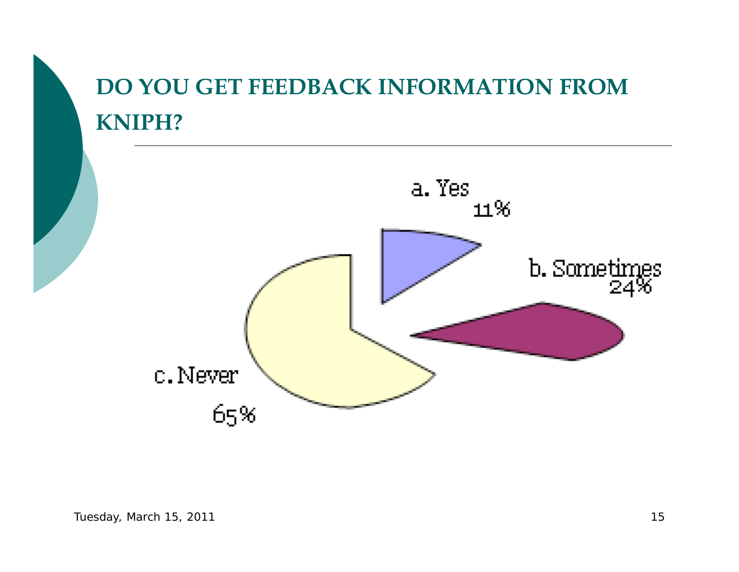### **DO YOU GET FEEDBACK INFORMATION FROM KNIPH?**

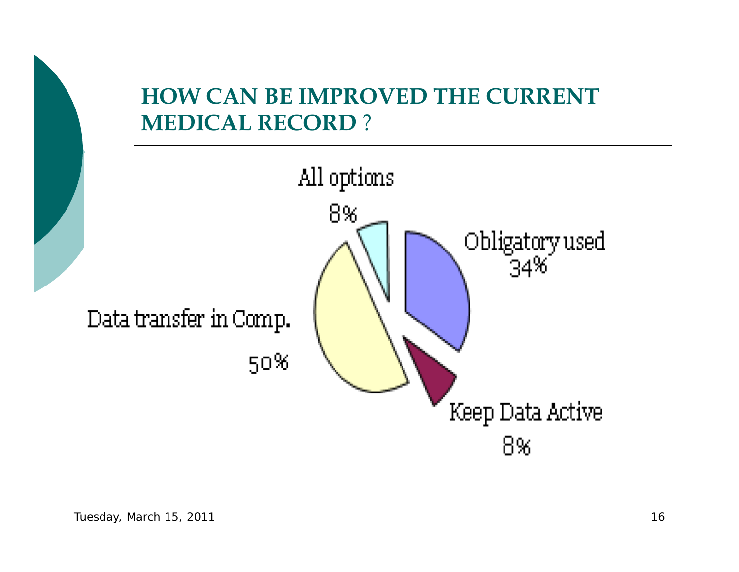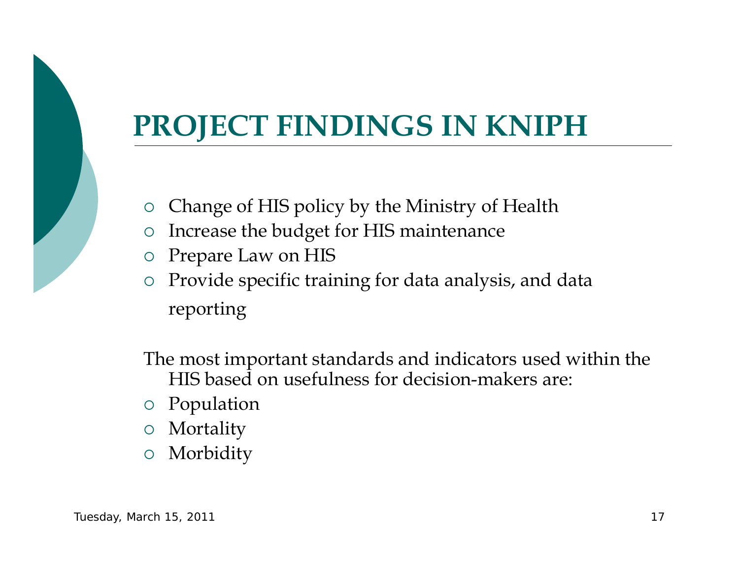## **PROJECT FINDINGS IN KNIPH**

- ${\bigcirc}$ Change of HIS policy by the Ministry of Health
- ${\bigcirc}$ Increase the budget for HIS maintenance
- $\circ$  Prepare Law on HIS
- ${\circ}$  Provide specific training for data analysis, and data reporting

The most important standards and indicators used within the HIS based on usefulness for decision-makers are:

- { Population
- { Mortality
- ${\bigcirc}$ Morbidity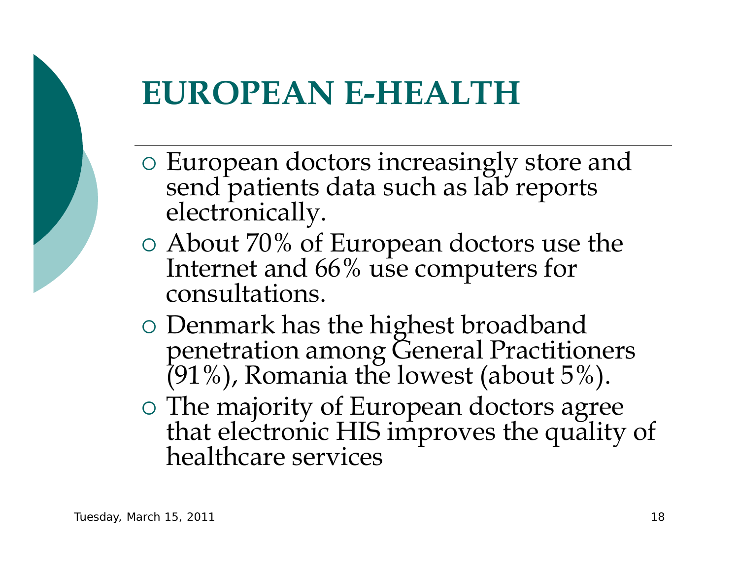

## **EUROPEAN E-HEALTH**

- $\circ$  European doctors increasingly store and send patients data such as lab reports electronically.
- { About 70% of European doctors use the Internet and 66% use computers for consultations.
- Denmark has the highest broadband penetration among General Practitioners (91%), Romania the lowest (about 5%).
- { The majority of European doctors agree that electronic HIS improves the quality of healthcare services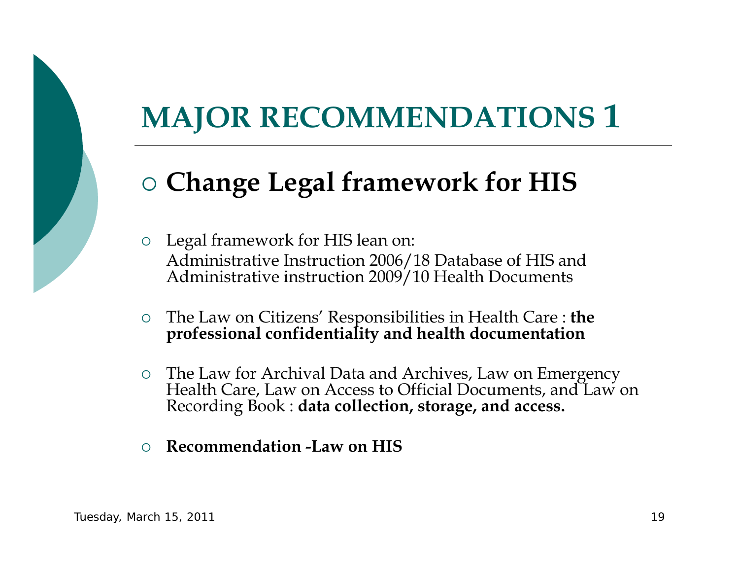## **MAJOR RECOMMENDATIONS 1**

### { **Change Legal framework for HIS**

 $\circ$  Legal framework for HIS lean on: Administrative Instruction 2006/18 Database of HIS and Administrative instruction 2009/10 Health Documents

- $\circ$ The Law on Citizens' Responsibilities in Health Care : **the professional confidentiality and health documentation**
- The Law for Archival Data and Archives, Law on Emergency Health Care, Law on Access to Official Documents, and Law on Recording Book : **data collection, storage, and access.**
- $\bigcirc$ **Recommendation -Law on HIS**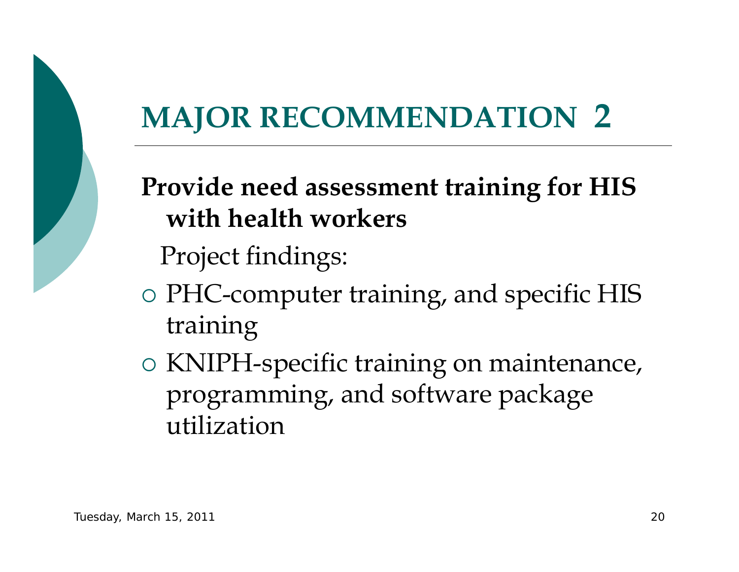# **MAJOR RECOMMENDATION 2**

### **Provide need assessment training for HIS with health workers**

Project findings:

- { PHC-computer training, and specific HIS training
- { KNIPH-specific training on maintenance, programming, and software package utilization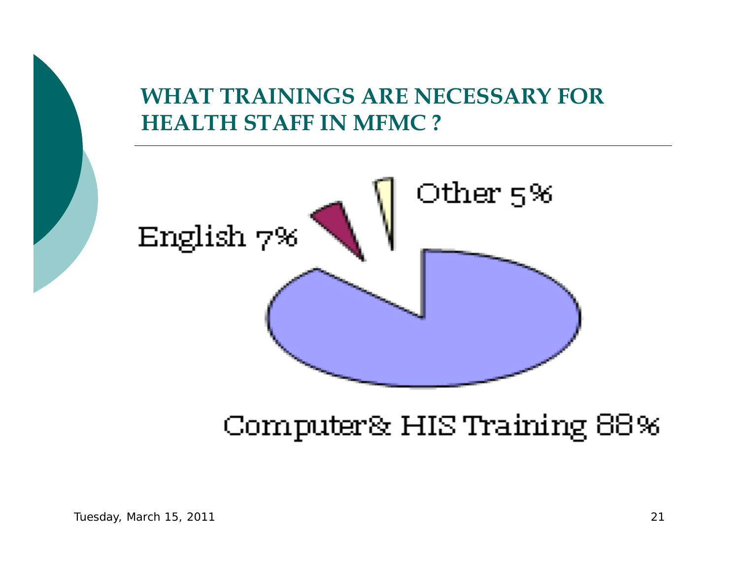#### **WHAT TRAININGS ARE NECESSARY FOR HEALTH STAFF IN MFMC ?**



### Computer& HIS Training 88%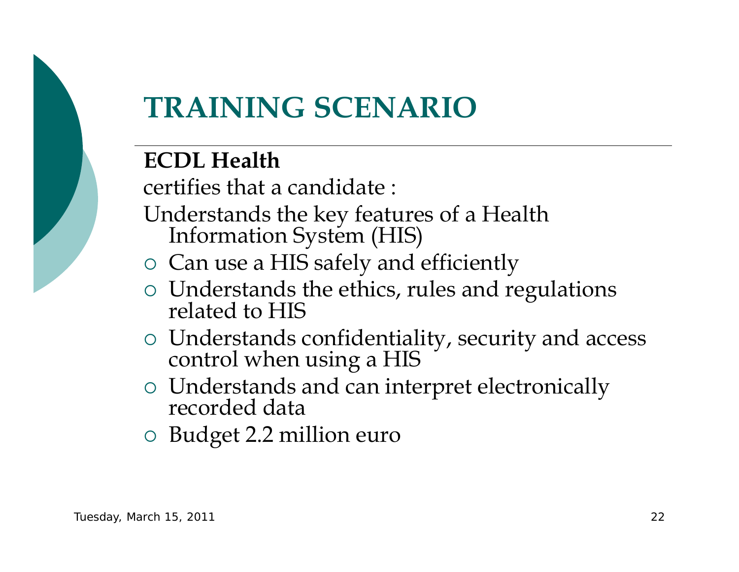

## **TRAINING SCENARIO**

#### **ECDL Health**

certifies that a candidate :

- Understands the key features of a Health Information System (HIS)
- { Can use a HIS safely and efficiently
- { Understands the ethics, rules and regulations related to HIS
- { Understands confidentiality, security and access control when using a HIS
- { Understands and can interpret electronically recorded data
- { Budget 2.2 million euro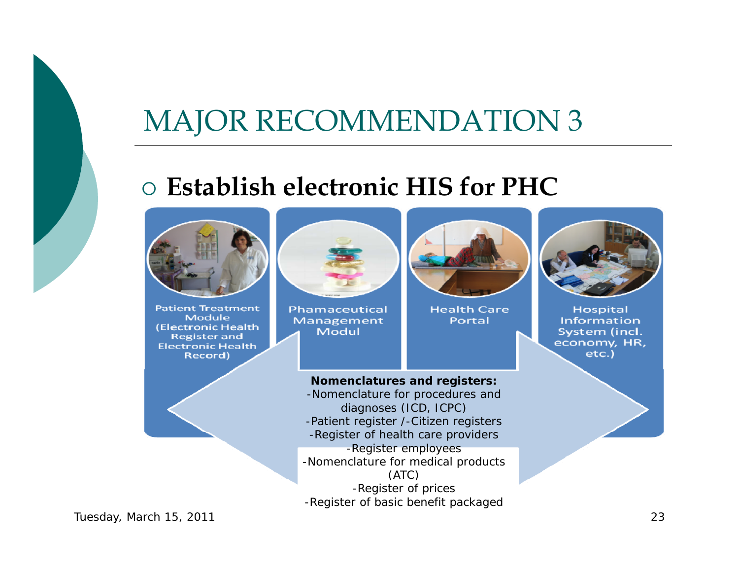## MAJOR RECOMMENDATION 3

#### { **Establish electronic HIS for PHC**



**Patient Treatment** Module (Electronic Health) **Register and Electronic Health** Record)



Phamaceutical Management Modul

**Nomenclatures and registers:** -Nomenclature for procedures and diagnoses (ICD, ICPC) -Patient register /-Citizen registers -Register of health care providers -Register employees -Nomenclature for medical products (ATC) -Register of prices -Register of basic benefit packaged



**Health Care** Portal



**Hospital** Information System (incl. economy, HR, etc.)

Tuesday, March 15, 2011 23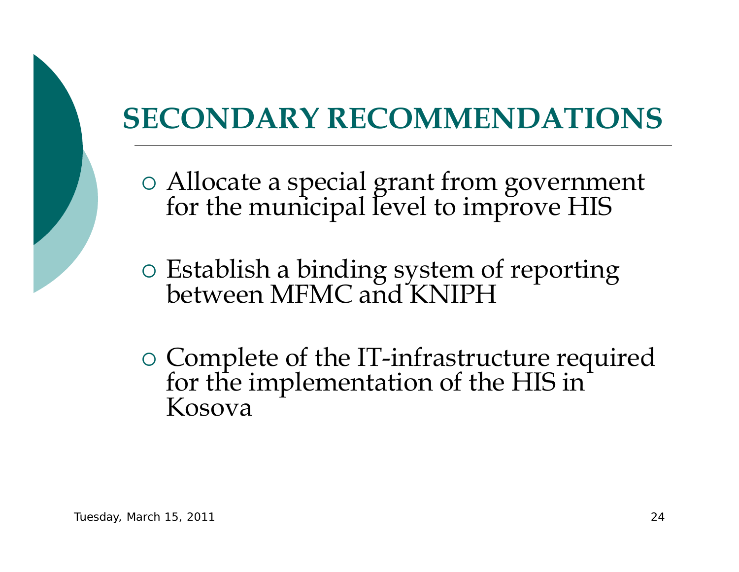## **SECONDARY RECOMMENDATIONS**

- { Allocate a special grant from government for the municipal level to improve HIS
- { Establish a binding system of reporting between MFMC and KNIPH
- { Complete of the IT-infrastructure required for the implementation of the HIS in Kosova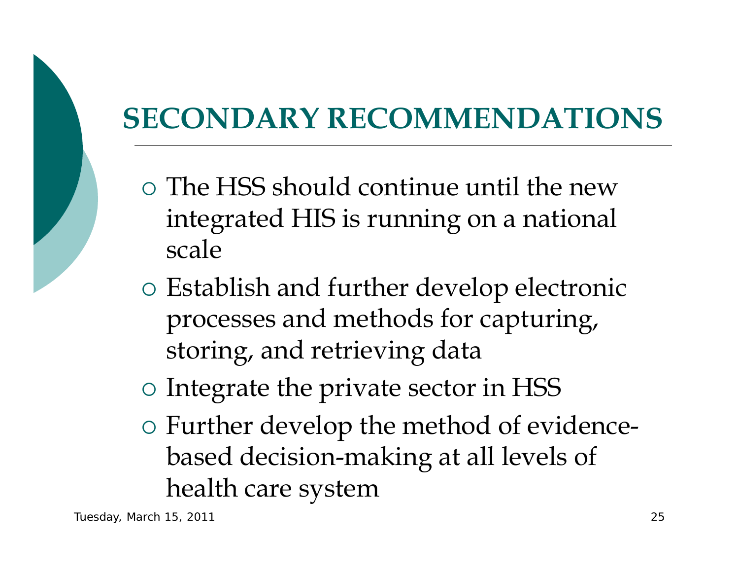## **SECONDARY RECOMMENDATIONS**

- { The HSS should continue until the new integrated HIS is running on a national scale
- { Establish and further develop electronic processes and methods for capturing, storing, and retrieving data

{ Integrate the private sector in HSS

 $\circ$  Further develop the method of evidencebased decision-making at all levels of health care system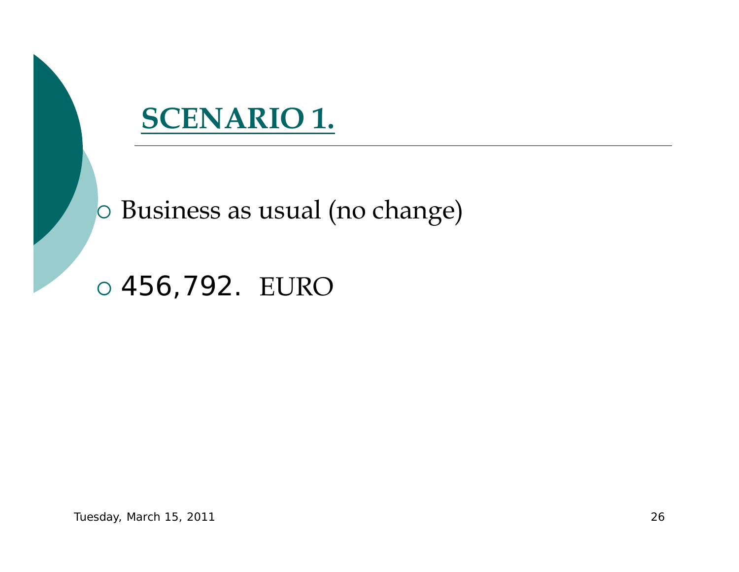

{ Business as usual (no change)

{ 456,792. EURO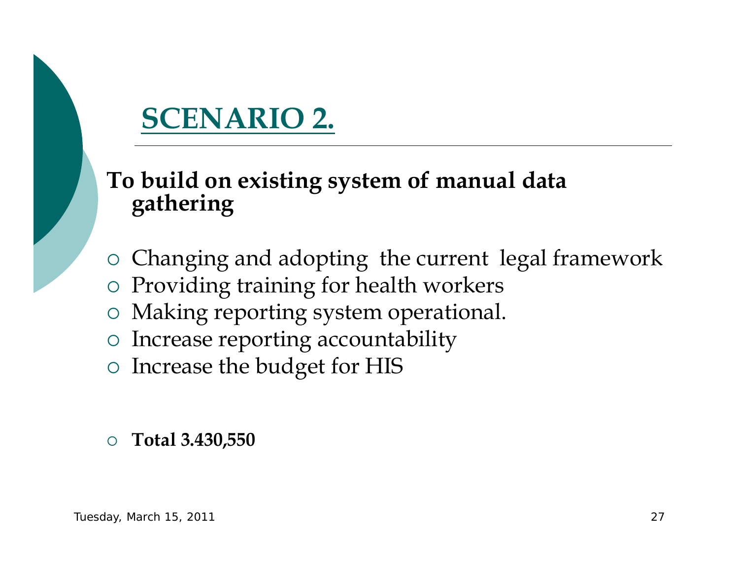## **SCENARIO 2.**

# **To build on existing system of manual data gathering**

- { Changing and adopting the current legal framework
- { Providing training for health workers
- { Making reporting system operational.
- { Increase reporting accountability
- { Increase the budget for HIS
- ${\bigcirc}$ **Total 3.430,550**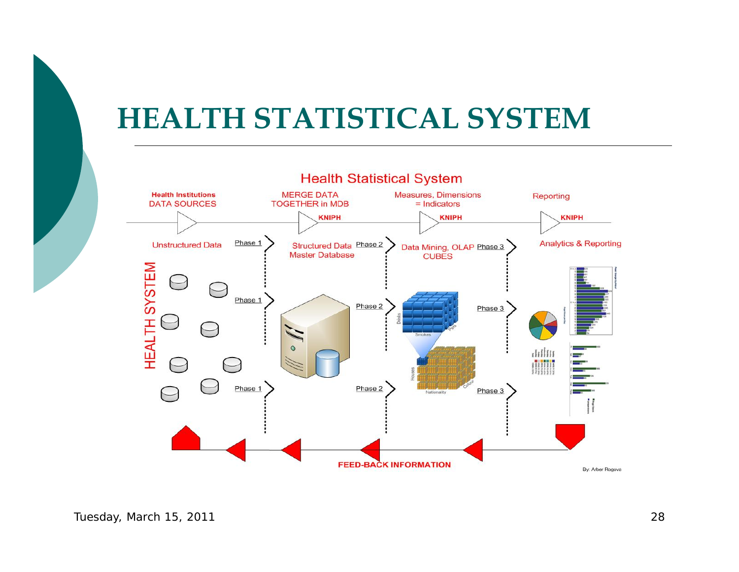## **HEALTH STATISTICAL SYSTEM**

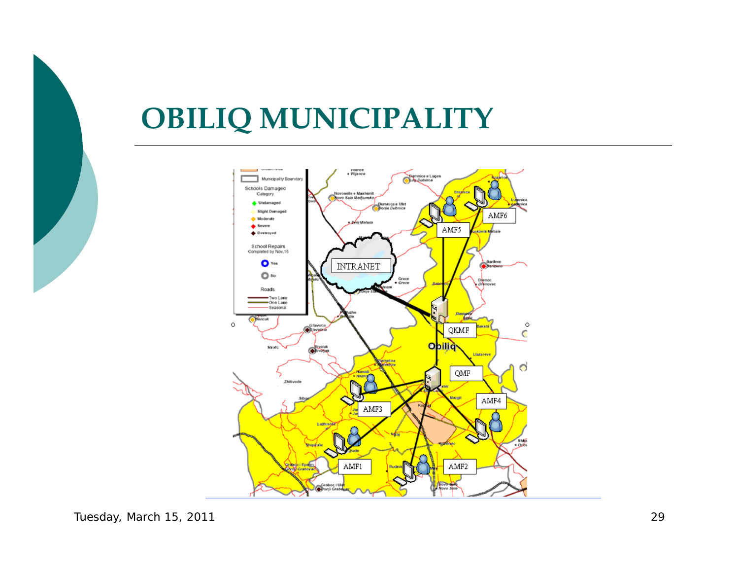

## **OBILIQ MUNICIPALITY**